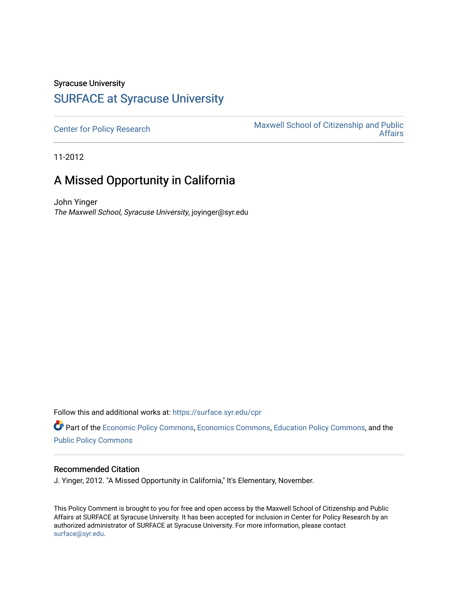# Syracuse University

### [SURFACE at Syracuse University](https://surface.syr.edu/)

[Center for Policy Research](https://surface.syr.edu/cpr) Maxwell School of Citizenship and Public [Affairs](https://surface.syr.edu/maxwell) 

11-2012

## A Missed Opportunity in California

John Yinger The Maxwell School, Syracuse University, joyinger@syr.edu

Follow this and additional works at: [https://surface.syr.edu/cpr](https://surface.syr.edu/cpr?utm_source=surface.syr.edu%2Fcpr%2F364&utm_medium=PDF&utm_campaign=PDFCoverPages) 

Part of the [Economic Policy Commons](http://network.bepress.com/hgg/discipline/1025?utm_source=surface.syr.edu%2Fcpr%2F364&utm_medium=PDF&utm_campaign=PDFCoverPages), [Economics Commons,](http://network.bepress.com/hgg/discipline/340?utm_source=surface.syr.edu%2Fcpr%2F364&utm_medium=PDF&utm_campaign=PDFCoverPages) [Education Policy Commons](http://network.bepress.com/hgg/discipline/1026?utm_source=surface.syr.edu%2Fcpr%2F364&utm_medium=PDF&utm_campaign=PDFCoverPages), and the [Public Policy Commons](http://network.bepress.com/hgg/discipline/400?utm_source=surface.syr.edu%2Fcpr%2F364&utm_medium=PDF&utm_campaign=PDFCoverPages)

#### Recommended Citation

J. Yinger, 2012. "A Missed Opportunity in California," It's Elementary, November.

This Policy Comment is brought to you for free and open access by the Maxwell School of Citizenship and Public Affairs at SURFACE at Syracuse University. It has been accepted for inclusion in Center for Policy Research by an authorized administrator of SURFACE at Syracuse University. For more information, please contact [surface@syr.edu.](mailto:surface@syr.edu)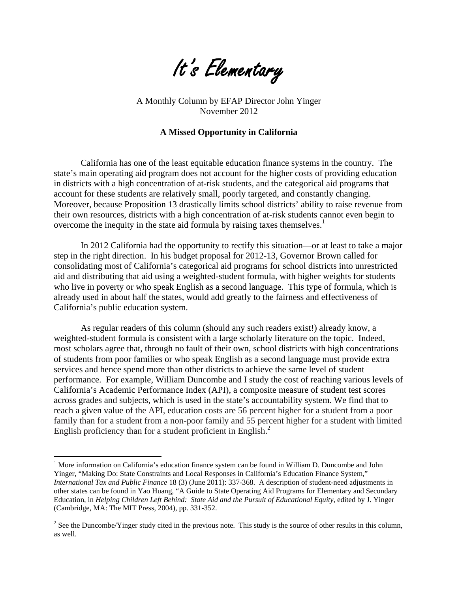

A Monthly Column by EFAP Director John Yinger November 2012

### **A Missed Opportunity in California**

California has one of the least equitable education finance systems in the country. The state's main operating aid program does not account for the higher costs of providing education in districts with a high concentration of at-risk students, and the categorical aid programs that account for these students are relatively small, poorly targeted, and constantly changing. Moreover, because Proposition 13 drastically limits school districts' ability to raise revenue from their own resources, districts with a high concentration of at-risk students cannot even begin to overcome the inequity in the state aid formula by raising taxes themselves.<sup>1</sup>

In 2012 California had the opportunity to rectify this situation—or at least to take a major step in the right direction. In his budget proposal for 2012-13, Governor Brown called for consolidating most of California's categorical aid programs for school districts into unrestricted aid and distributing that aid using a weighted-student formula, with higher weights for students who live in poverty or who speak English as a second language. This type of formula, which is already used in about half the states, would add greatly to the fairness and effectiveness of California's public education system.

As regular readers of this column (should any such readers exist!) already know, a weighted-student formula is consistent with a large scholarly literature on the topic. Indeed, most scholars agree that, through no fault of their own, school districts with high concentrations of students from poor families or who speak English as a second language must provide extra services and hence spend more than other districts to achieve the same level of student performance. For example, William Duncombe and I study the cost of reaching various levels of California's Academic Performance Index (API), a composite measure of student test scores across grades and subjects, which is used in the state's accountability system. We find that to reach a given value of the API, education costs are 56 percent higher for a student from a poor family than for a student from a non-poor family and 55 percent higher for a student with limited English proficiency than for a student proficient in English.<sup>2</sup>

 $\overline{a}$ 

<sup>&</sup>lt;sup>1</sup> More information on California's education finance system can be found in William D. Duncombe and John Yinger, "Making Do: State Constraints and Local Responses in California's Education Finance System," *International Tax and Public Finance* 18 (3) (June 2011): 337-368. A description of student-need adjustments in other states can be found in Yao Huang, "A Guide to State Operating Aid Programs for Elementary and Secondary Education, in *Helping Children Left Behind: State Aid and the Pursuit of Educational Equity*, edited by J. Yinger (Cambridge, MA: The MIT Press, 2004), pp. 331-352.

<sup>&</sup>lt;sup>2</sup> See the Duncombe/Yinger study cited in the previous note. This study is the source of other results in this column, as well.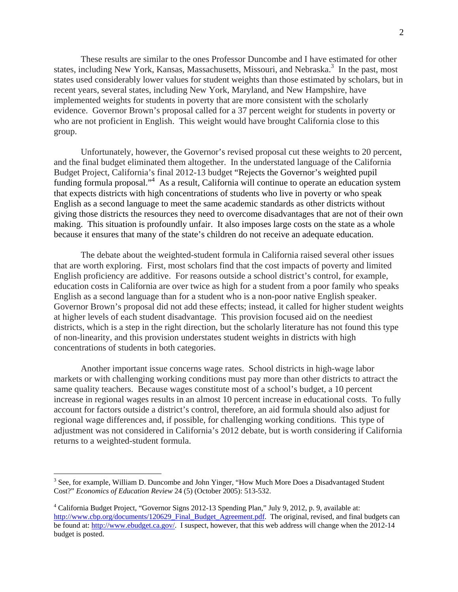These results are similar to the ones Professor Duncombe and I have estimated for other states, including New York, Kansas, Massachusetts, Missouri, and Nebraska.<sup>3</sup> In the past, most states used considerably lower values for student weights than those estimated by scholars, but in recent years, several states, including New York, Maryland, and New Hampshire, have implemented weights for students in poverty that are more consistent with the scholarly evidence. Governor Brown's proposal called for a 37 percent weight for students in poverty or who are not proficient in English. This weight would have brought California close to this group.

Unfortunately, however, the Governor's revised proposal cut these weights to 20 percent, and the final budget eliminated them altogether. In the understated language of the California Budget Project, California's final 2012-13 budget "Rejects the Governor's weighted pupil funding formula proposal."<sup>4</sup> As a result, California will continue to operate an education system that expects districts with high concentrations of students who live in poverty or who speak English as a second language to meet the same academic standards as other districts without giving those districts the resources they need to overcome disadvantages that are not of their own making. This situation is profoundly unfair. It also imposes large costs on the state as a whole because it ensures that many of the state's children do not receive an adequate education.

The debate about the weighted-student formula in California raised several other issues that are worth exploring. First, most scholars find that the cost impacts of poverty and limited English proficiency are additive. For reasons outside a school district's control, for example, education costs in California are over twice as high for a student from a poor family who speaks English as a second language than for a student who is a non-poor native English speaker. Governor Brown's proposal did not add these effects; instead, it called for higher student weights at higher levels of each student disadvantage. This provision focused aid on the neediest districts, which is a step in the right direction, but the scholarly literature has not found this type of non-linearity, and this provision understates student weights in districts with high concentrations of students in both categories.

Another important issue concerns wage rates. School districts in high-wage labor markets or with challenging working conditions must pay more than other districts to attract the same quality teachers. Because wages constitute most of a school's budget, a 10 percent increase in regional wages results in an almost 10 percent increase in educational costs. To fully account for factors outside a district's control, therefore, an aid formula should also adjust for regional wage differences and, if possible, for challenging working conditions. This type of adjustment was not considered in California's 2012 debate, but is worth considering if California returns to a weighted-student formula.

<u>.</u>

<sup>&</sup>lt;sup>3</sup> See, for example, William D. Duncombe and John Yinger, "How Much More Does a Disadvantaged Student Cost?" *Economics of Education Review* 24 (5) (October 2005): 513-532.

<sup>4</sup> California Budget Project, "Governor Signs 2012-13 Spending Plan," July 9, 2012, p. 9, available at: [http://www.cbp.org/documents/120629\\_Final\\_Budget\\_Agreement.pdf.](http://www.cbp.org/documents/120629_Final_Budget_Agreement.pdf) The original, revised, and final budgets can be found at: [http://www.ebudget.ca.gov/](http://www.ebudget.ca.gov). I suspect, however, that this web address will change when the 2012-14 budget is posted.